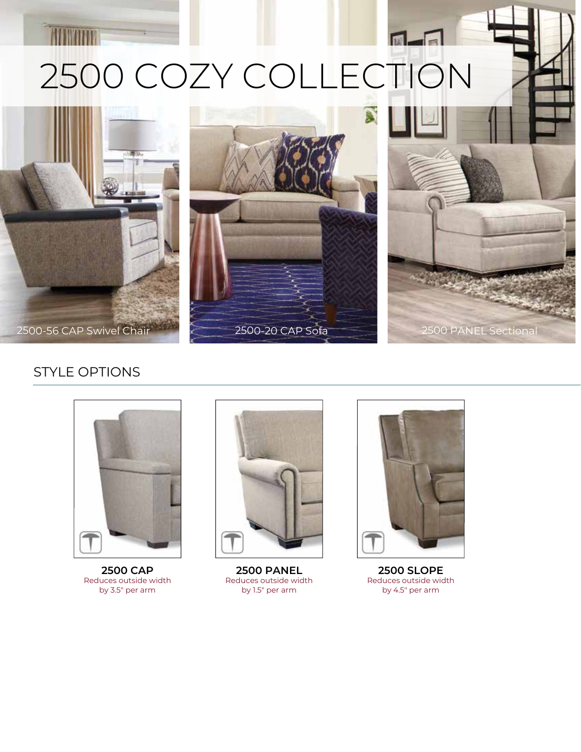## 2500 COZY COLLECTION







## STYLE OPTIONS



**2500 CAP** Reduces outside width by 3.5" per arm



**2500 PANEL** Reduces outside width by 1.5" per arm



 $\blacksquare$ 

**2500 SLOPE** Reduces outside width by 4.5" per arm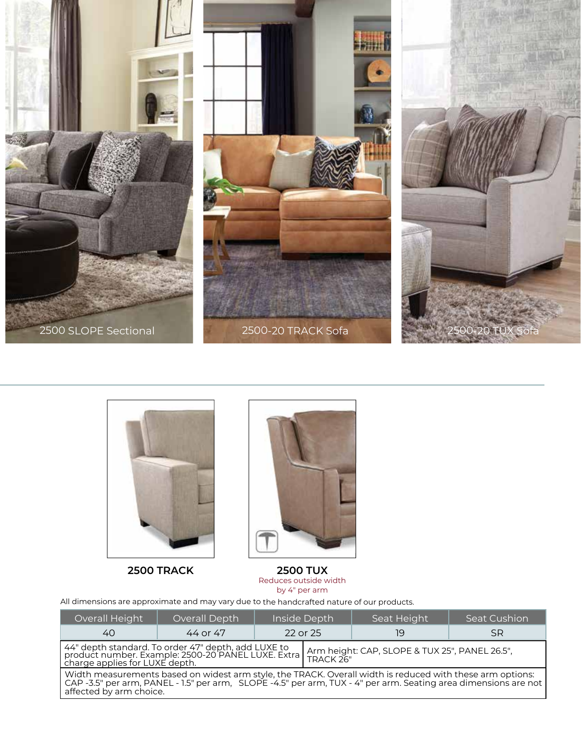





**2500 TRACK 2500 TUX** Reduces outside width by 4" per arm

All dimensions are approximate and may vary due to the handcrafted nature of our products.

| Overall Height                                                                                                                                                                                                                                          | Overall Depth | Inside Depth |  | Seat Height | Seat Cushion' |
|---------------------------------------------------------------------------------------------------------------------------------------------------------------------------------------------------------------------------------------------------------|---------------|--------------|--|-------------|---------------|
| 40                                                                                                                                                                                                                                                      | 44 or 47      | 22 or 25     |  | 19          | <b>SR</b>     |
| 44" depth standard. To order 47" depth, add LUXE to<br>product number. Example: 2500-20 PANEL LUXE. Extra<br>charge applies for LUXE depth.<br>Arm height: CAP, SLOPE & TUX 25", PANEL 26.5",<br>TRACK 26"                                              |               |              |  |             |               |
| Width measurements based on widest arm style, the TRACK. Overall width is reduced with these arm options:<br>CAP -3.5" per arm, PANEL - 1.5" per arm, SLOPE -4.5" per arm, TUX - 4" per arm. Seating area dimensions are not<br>affected by arm choice. |               |              |  |             |               |